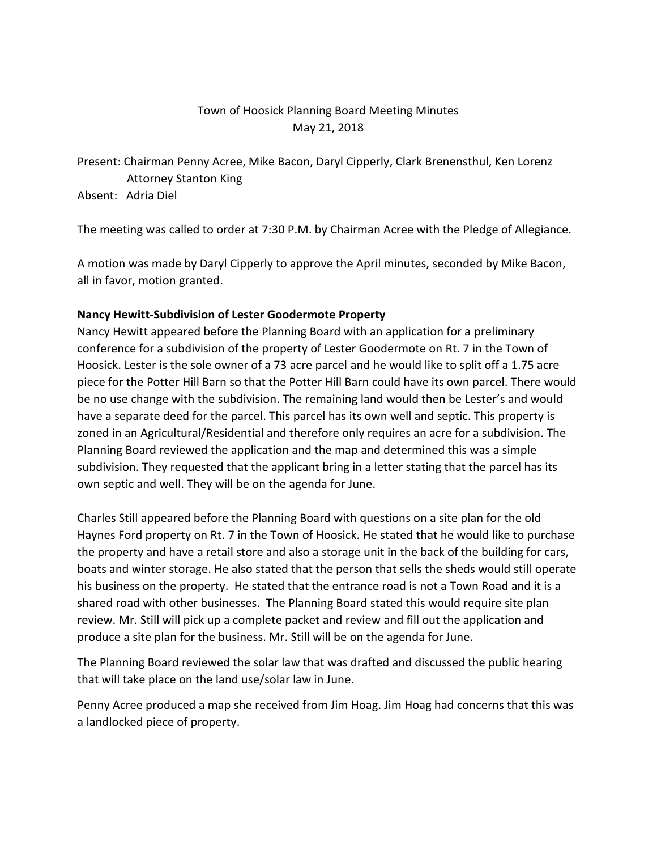## Town of Hoosick Planning Board Meeting Minutes May 21, 2018

Present: Chairman Penny Acree, Mike Bacon, Daryl Cipperly, Clark Brenensthul, Ken Lorenz Attorney Stanton King

Absent: Adria Diel

The meeting was called to order at 7:30 P.M. by Chairman Acree with the Pledge of Allegiance.

A motion was made by Daryl Cipperly to approve the April minutes, seconded by Mike Bacon, all in favor, motion granted.

## **Nancy Hewitt-Subdivision of Lester Goodermote Property**

Nancy Hewitt appeared before the Planning Board with an application for a preliminary conference for a subdivision of the property of Lester Goodermote on Rt. 7 in the Town of Hoosick. Lester is the sole owner of a 73 acre parcel and he would like to split off a 1.75 acre piece for the Potter Hill Barn so that the Potter Hill Barn could have its own parcel. There would be no use change with the subdivision. The remaining land would then be Lester's and would have a separate deed for the parcel. This parcel has its own well and septic. This property is zoned in an Agricultural/Residential and therefore only requires an acre for a subdivision. The Planning Board reviewed the application and the map and determined this was a simple subdivision. They requested that the applicant bring in a letter stating that the parcel has its own septic and well. They will be on the agenda for June.

Charles Still appeared before the Planning Board with questions on a site plan for the old Haynes Ford property on Rt. 7 in the Town of Hoosick. He stated that he would like to purchase the property and have a retail store and also a storage unit in the back of the building for cars, boats and winter storage. He also stated that the person that sells the sheds would still operate his business on the property. He stated that the entrance road is not a Town Road and it is a shared road with other businesses. The Planning Board stated this would require site plan review. Mr. Still will pick up a complete packet and review and fill out the application and produce a site plan for the business. Mr. Still will be on the agenda for June.

The Planning Board reviewed the solar law that was drafted and discussed the public hearing that will take place on the land use/solar law in June.

Penny Acree produced a map she received from Jim Hoag. Jim Hoag had concerns that this was a landlocked piece of property.